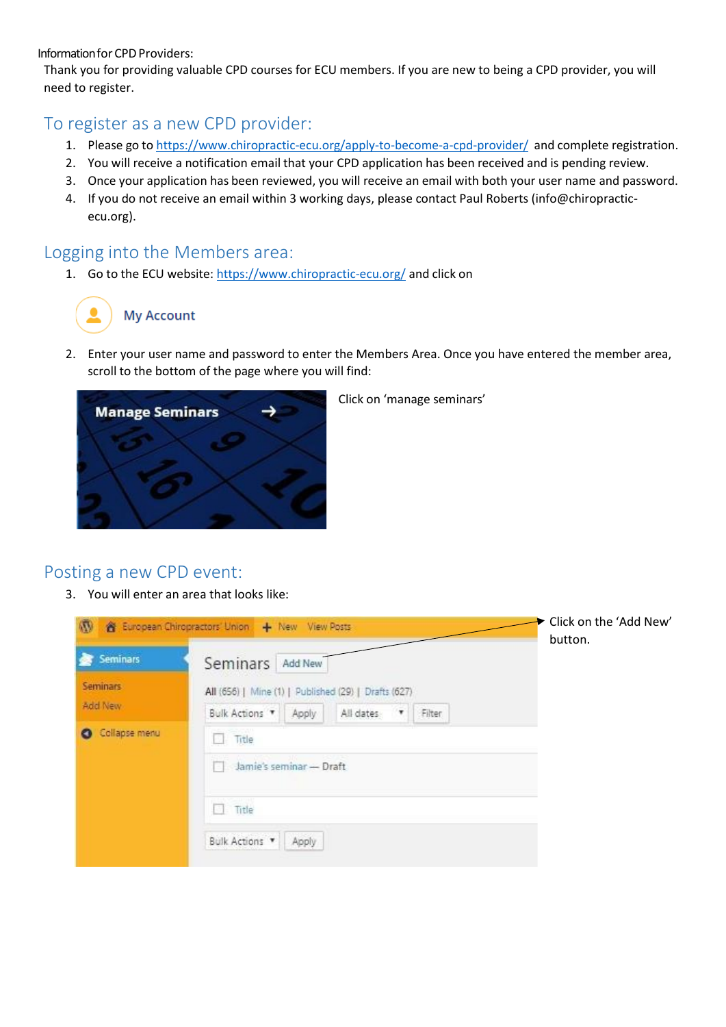Information for CPD Providers:

Thank you for providing valuable CPD courses for ECU members. If you are new to being a CPD provider, you will need to register.

## To register as a new CPD provider:

- 1. Please go to <https://www.chiropractic-ecu.org/apply-to-become-a-cpd-provider/> and complete registration.
- 2. You will receive a notification email that your CPD application has been received and is pending review.
- 3. Once your application has been reviewed, you will receive an email with both your user name and password.
- 4. If you do not receive an email within 3 working days, please contact Paul Roberts (info@chiropracticecu.org).

## Logging into the Members area:

1. Go to the ECU website: <https://www.chiropractic-ecu.org/> and click on

## **My Account**

2. Enter your user name and password to enter the Members Area. Once you have entered the member area, scroll to the bottom of the page where you will find:



Click on 'manage seminars'

## Posting a new CPD event:

3. You will enter an area that looks like:

| $\mathbf{w}$                                       | <b>8</b> European Chiropractors' Union   + New View Posts                                                                             | Click on the 'Add New'<br>button. |
|----------------------------------------------------|---------------------------------------------------------------------------------------------------------------------------------------|-----------------------------------|
| ×<br><b>Seminars</b><br><b>Seminars</b><br>Add New | Seminars<br>Add New<br>All (656)   Mine (1)   Published (29)   Drafts (627)<br>All dates<br>Bulk Actions<br>Apply<br>$\tau$<br>Filter |                                   |
| Collapse menu                                      | Title<br>u.<br>Jamie's seminar - Draft<br>Title<br>Bulk Actions<br>Apply                                                              |                                   |